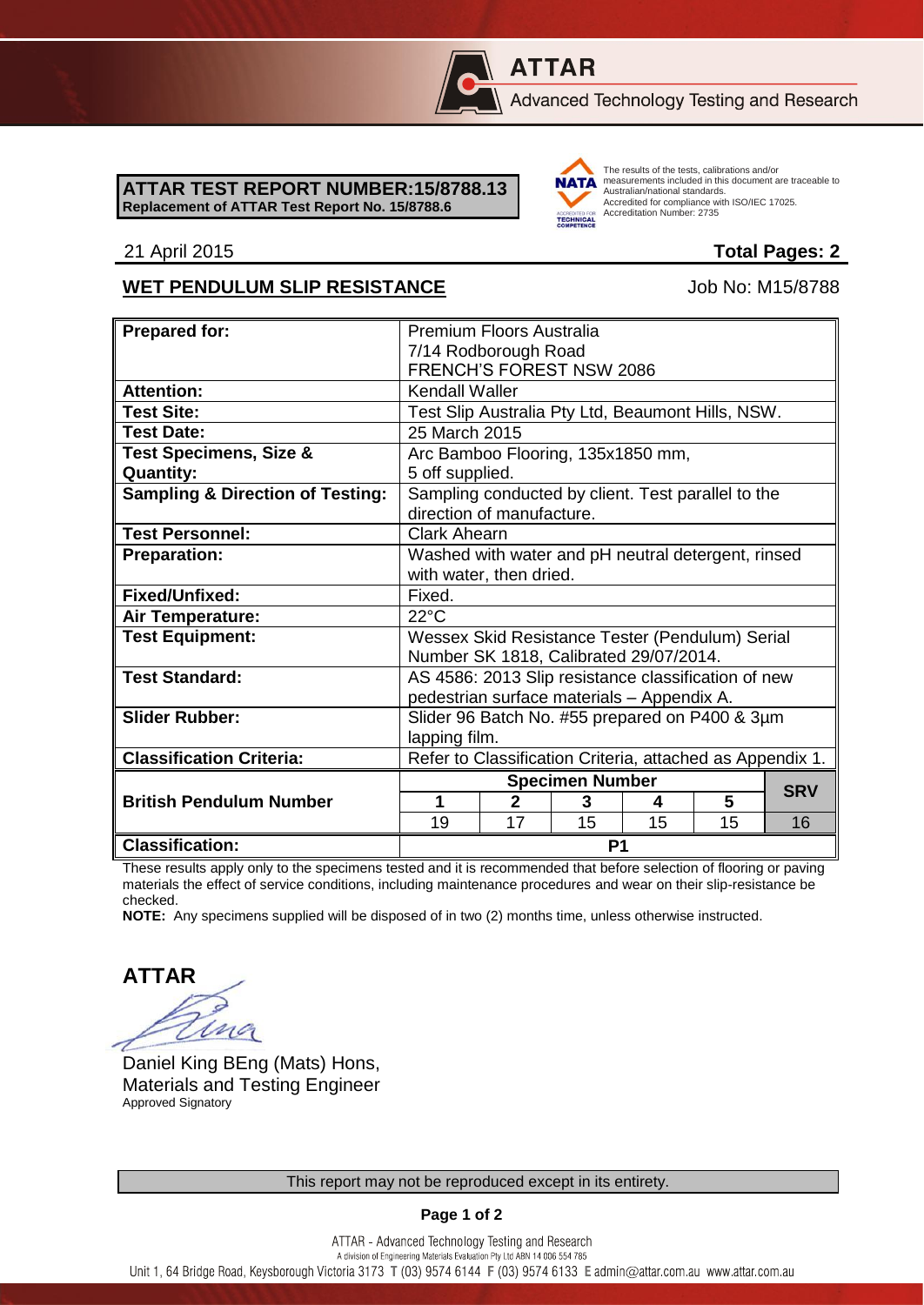# **ATTAR**

Advanced Technology Testing and Research

### **ATTAR TEST REPORT NUMBER:15/8788.13 Replacement of ATTAR Test Report No. 15/8788.6**



The results of the tests, calibrations and/or measurements included in this document are traceable to Australian/national standards. Accredited for compliance with ISO/IEC 17025. Accreditation Number: 2735

## 21 April 2015 **Total Pages: 2**

## WET PENDULUM SLIP RESISTANCE Job No: M15/8788

| <b>Prepared for:</b>                        | Premium Floors Australia                                  |                |    |    |    |            |
|---------------------------------------------|-----------------------------------------------------------|----------------|----|----|----|------------|
|                                             | 7/14 Rodborough Road                                      |                |    |    |    |            |
|                                             | FRENCH'S FOREST NSW 2086                                  |                |    |    |    |            |
| <b>Attention:</b>                           | <b>Kendall Waller</b>                                     |                |    |    |    |            |
| <b>Test Site:</b>                           | Test Slip Australia Pty Ltd, Beaumont Hills, NSW.         |                |    |    |    |            |
| <b>Test Date:</b>                           | 25 March 2015                                             |                |    |    |    |            |
| <b>Test Specimens, Size &amp;</b>           | Arc Bamboo Flooring, 135x1850 mm,                         |                |    |    |    |            |
| <b>Quantity:</b>                            | 5 off supplied.                                           |                |    |    |    |            |
| <b>Sampling &amp; Direction of Testing:</b> | Sampling conducted by client. Test parallel to the        |                |    |    |    |            |
|                                             | direction of manufacture.                                 |                |    |    |    |            |
| <b>Test Personnel:</b>                      | <b>Clark Ahearn</b>                                       |                |    |    |    |            |
| <b>Preparation:</b>                         | Washed with water and pH neutral detergent, rinsed        |                |    |    |    |            |
|                                             | with water, then dried.                                   |                |    |    |    |            |
| Fixed/Unfixed:                              | Fixed.                                                    |                |    |    |    |            |
| <b>Air Temperature:</b>                     | $22^{\circ}$ C                                            |                |    |    |    |            |
| <b>Test Equipment:</b>                      | Wessex Skid Resistance Tester (Pendulum) Serial           |                |    |    |    |            |
|                                             | Number SK 1818, Calibrated 29/07/2014.                    |                |    |    |    |            |
| <b>Test Standard:</b>                       | AS 4586: 2013 Slip resistance classification of new       |                |    |    |    |            |
|                                             | pedestrian surface materials - Appendix A.                |                |    |    |    |            |
| <b>Slider Rubber:</b>                       | Slider 96 Batch No. #55 prepared on P400 & 3µm            |                |    |    |    |            |
|                                             | lapping film.                                             |                |    |    |    |            |
| <b>Classification Criteria:</b>             | Refer to Classification Criteria, attached as Appendix 1. |                |    |    |    |            |
|                                             | <b>Specimen Number</b>                                    |                |    |    |    |            |
| <b>British Pendulum Number</b>              | 1                                                         | $\overline{2}$ | 3  | 4  | 5  | <b>SRV</b> |
|                                             | 19                                                        | 17             | 15 | 15 | 15 | 16         |
| <b>Classification:</b>                      | P <sub>1</sub>                                            |                |    |    |    |            |

These results apply only to the specimens tested and it is recommended that before selection of flooring or paving materials the effect of service conditions, including maintenance procedures and wear on their slip-resistance be checked.

**NOTE:** Any specimens supplied will be disposed of in two (2) months time, unless otherwise instructed.

**ATTAR** ing

Daniel King BEng (Mats) Hons, Materials and Testing Engineer Approved Signatory

## **Page 1 of 2**